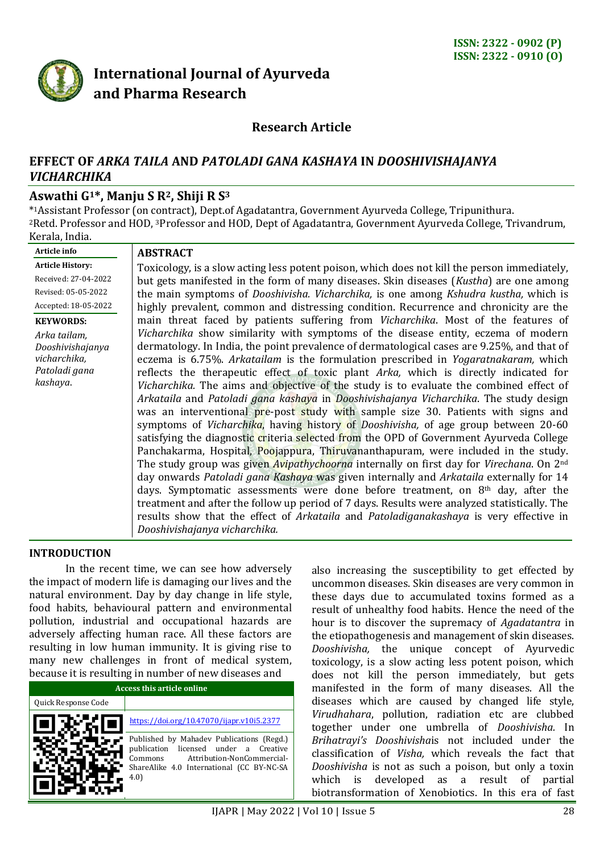

# **International Journal of Ayurveda and Pharma Research**

# **Research Article**

# **EFFECT OF** *ARKA TAILA* **AND** *PATOLADI GANA KASHAYA* **IN** *DOOSHIVISHAJANYA VICHARCHIKA*

# **Aswathi G1\*, Manju S R2, Shiji R S<sup>3</sup>**

\* <sup>1</sup>Assistant Professor (on contract), Dept.of Agadatantra, Government Ayurveda College, Tripunithura. <sup>2</sup>Retd. Professor and HOD, <sup>3</sup>Professor and HOD, Dept of Agadatantra, Government Ayurveda College, Trivandrum, Kerala, India.

**Article info Article History:**  Received: 27-04-2022 Revised: 05-05-2022 Accepted: 18-05-2022

#### **KEYWORDS:**

*Arka tailam, Dooshivishajanya vicharchika, Patoladi gana kashaya*.

#### **ABSTRACT**

Toxicology, is a slow acting less potent poison, which does not kill the person immediately, but gets manifested in the form of many diseases. Skin diseases (*Kustha*) are one among the main symptoms of *Dooshivisha. Vicharchika,* is one among *Kshudra kustha,* which is highly prevalent, common and distressing condition. Recurrence and chronicity are the main threat faced by patients suffering from *Vicharchika*. Most of the features of *Vicharchika* show similarity with symptoms of the disease entity, eczema of modern dermatology. In India, the point prevalence of dermatological cases are 9.25%, and that of eczema is 6.75%. *Arkatailam* is the formulation prescribed in *Yogaratnakaram,* which reflects the therapeutic effect of toxic plant *Arka,* which is directly indicated for *Vicharchika.* The aims and objective of the study is to evaluate the combined effect of *Arkataila* and *Patoladi gana kashaya* in *Dooshivishajanya Vicharchika*. The study design was an interventional pre-post study with sample size 30. Patients with signs and symptoms of *Vicharchika*, having history of *Dooshivisha,* of age group between 20-60 satisfying the diagnostic criteria selected from the OPD of Government Ayurveda College Panchakarma, Hospital, Poojappura, Thiruvananthapuram, were included in the study. The study group was given *Avipathychoorna* internally on first day for *Virechana*. On 2nd day onwards *Patoladi gana Kashaya* was given internally and *Arkataila* externally for 14 days. Symptomatic assessments were done before treatment, on 8th day, after the treatment and after the follow up period of 7 days. Results were analyzed statistically. The results show that the effect of *Arkataila* and *Patoladiganakashaya* is very effective in *Dooshivishajanya vicharchika.*

#### **INTRODUCTION**

In the recent time, we can see how adversely the impact of modern life is damaging our lives and the natural environment. Day by day change in life style, food habits, behavioural pattern and environmental pollution, industrial and occupational hazards are adversely affecting human race. All these factors are resulting in low human immunity. It is giving rise to many new challenges in front of medical system, because it is resulting in number of new diseases and

| Access this article online |                                                                                                                                                                                 |  |  |  |  |
|----------------------------|---------------------------------------------------------------------------------------------------------------------------------------------------------------------------------|--|--|--|--|
| Quick Response Code        |                                                                                                                                                                                 |  |  |  |  |
|                            | https://doi.org/10.47070/ijapr.v10i5.2377                                                                                                                                       |  |  |  |  |
|                            | Published by Mahadev Publications (Regd.)<br>publication licensed under a Creative<br>Attribution-NonCommercial-<br>Commons<br>ShareAlike 4.0 International (CC BY-NC-SA<br>4.0 |  |  |  |  |

also increasing the susceptibility to get effected by uncommon diseases. Skin diseases are very common in these days due to accumulated toxins formed as a result of unhealthy food habits. Hence the need of the hour is to discover the supremacy of *Agadatantra* in the etiopathogenesis and management of skin diseases. *Dooshivisha,* the unique concept of Ayurvedic toxicology, is a slow acting less potent poison, which does not kill the person immediately, but gets manifested in the form of many diseases. All the diseases which are caused by changed life style, *Virudhahara*, pollution, radiation etc are clubbed together under one umbrella of *Dooshivisha.* In *Brihatrayi's Dooshivisha*is not included under the classification of *Visha,* which reveals the fact that *Dooshivisha* is not as such a poison, but only a toxin which is developed as a result of partial biotransformation of Xenobiotics. In this era of fast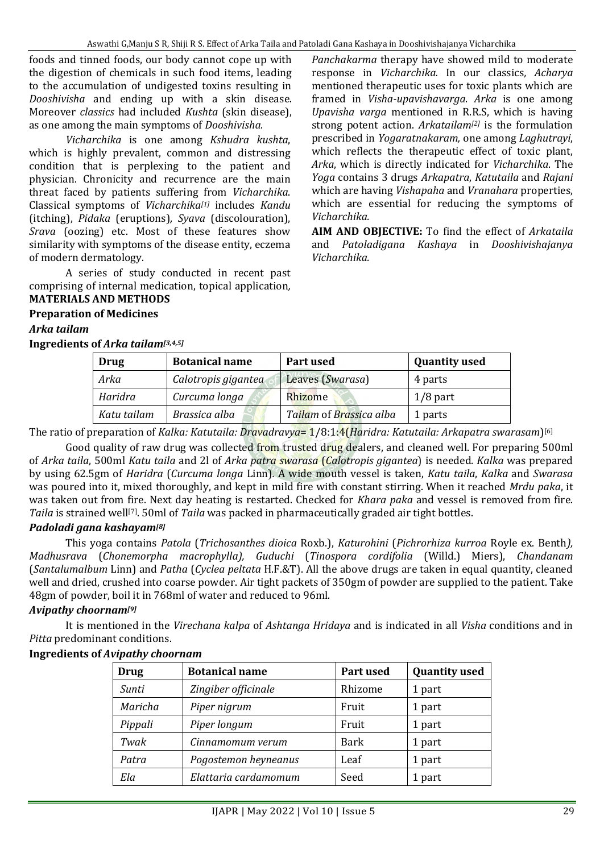foods and tinned foods, our body cannot cope up with the digestion of chemicals in such food items, leading to the accumulation of undigested toxins resulting in *Dooshivisha* and ending up with a skin disease. Moreover *classics* had included *Kushta* (skin disease), as one among the main symptoms of *Dooshivisha.*

*Vicharchika* is one among *Kshudra kushta*, which is highly prevalent, common and distressing condition that is perplexing to the patient and physician. Chronicity and recurrence are the main threat faced by patients suffering from *Vicharchika*. Classical symptoms of *Vicharchika[1]* includes *Kandu* (itching), *Pidaka* (eruptions)*, Syava* (discolouration), *Srava* (oozing) etc. Most of these features show similarity with symptoms of the disease entity, eczema of modern dermatology.

A series of study conducted in recent past comprising of internal medication, topical application*,*  **MATERIALS AND METHODS**

*Panchakarma* therapy have showed mild to moderate response in *Vicharchika.* In our classics*, Acharya* mentioned therapeutic uses for toxic plants which are framed in *Visha-upavishavarga*. *Arka* is one among *Upavisha varga* mentioned in R.R.S, which is having strong potent action. *Arkatailam[2]* is the formulation prescribed in *Yogaratnakaram,* one among *Laghutrayi*, which reflects the therapeutic effect of toxic plant, *Arka*, which is directly indicated for *Vicharchika*. The *Yoga* contains 3 drugs *Arkapatra*, *Katutaila* and *Rajani* which are having *Vishapaha* and *Vranahara* properties, which are essential for reducing the symptoms of *Vicharchika.*

**AIM AND OBJECTIVE:** To find the effect of *Arkataila*  and *Patoladigana Kashaya* in *Dooshivishajanya Vicharchika.*

# **Preparation of Medicines**

#### *Arka tailam*

**Ingredients of** *Arka tailam[3,4,5]*

| Drug        | <b>Botanical name</b> | Part used               | <b>Quantity used</b> |
|-------------|-----------------------|-------------------------|----------------------|
| Arka        | Calotropis gigantea   | Leaves (Swarasa)        | 4 parts              |
| Haridra     | Curcuma longa         | Rhizome                 | $1/8$ part           |
| Katu tailam | Brassica alba         | Tailam of Brassica alba | 1 parts              |

The ratio of preparation of *Kalka: Katutaila: Dravadravya*= 1/8:1:4(*Haridra: Katutaila: Arkapatra swarasam*) [6]

Good quality of raw drug was collected from trusted drug dealers, and cleaned well. For preparing 500ml of *Arka taila*, 500ml *Katu taila* and 2l of *Arka patra swarasa* (*Calotropis gigantea*) is needed*. Kalka* was prepared by using 62.5gm of *Haridra* (*Curcuma longa* Linn)*.* A wide mouth vessel is taken, *Katu taila*, *Kalka* and *Swarasa*  was poured into it, mixed thoroughly, and kept in mild fire with constant stirring. When it reached *Mrdu paka*, it was taken out from fire. Next day heating is restarted. Checked for *Khara paka* and vessel is removed from fire. Taila is strained well<sup>[7]</sup>. 50ml of *Taila* was packed in pharmaceutically graded air tight bottles.

#### *Padoladi gana kashayam[8]*

This yoga contains *Patola* (*Trichosanthes dioica* Roxb.), *Katurohini* (*Pichrorhiza kurroa* Royle ex. Benth*), Madhusrava* (*Chonemorpha macrophylla), Guduchi* (*Tinospora cordifolia* (Willd.) Miers), *Chandanam* (*Santalumalbum* Linn) and *Patha* (*Cyclea peltata* H.F.&T). All the above drugs are taken in equal quantity, cleaned well and dried, crushed into coarse powder. Air tight packets of 350gm of powder are supplied to the patient. Take 48gm of powder, boil it in 768ml of water and reduced to 96ml.

### *Avipathy choornam[9]*

It is mentioned in the *Virechana kalpa* of *Ashtanga Hridaya* and is indicated in all *Visha* conditions and in *Pitta* predominant conditions.

### **Ingredients of** *Avipathy choornam*

| <b>Drug</b> | <b>Botanical name</b> | Part used   | <b>Quantity used</b> |
|-------------|-----------------------|-------------|----------------------|
| Sunti       | Zingiber officinale   | Rhizome     | 1 part               |
| Maricha     | Piper nigrum          | Fruit       | 1 part               |
| Pippali     | Piper longum          | Fruit       | 1 part               |
| Twak        | Cinnamomum verum      | <b>Bark</b> | 1 part               |
| Patra       | Pogostemon heyneanus  | Leaf        | 1 part               |
| Ela         | Elattaria cardamomum  | Seed        | 1 part               |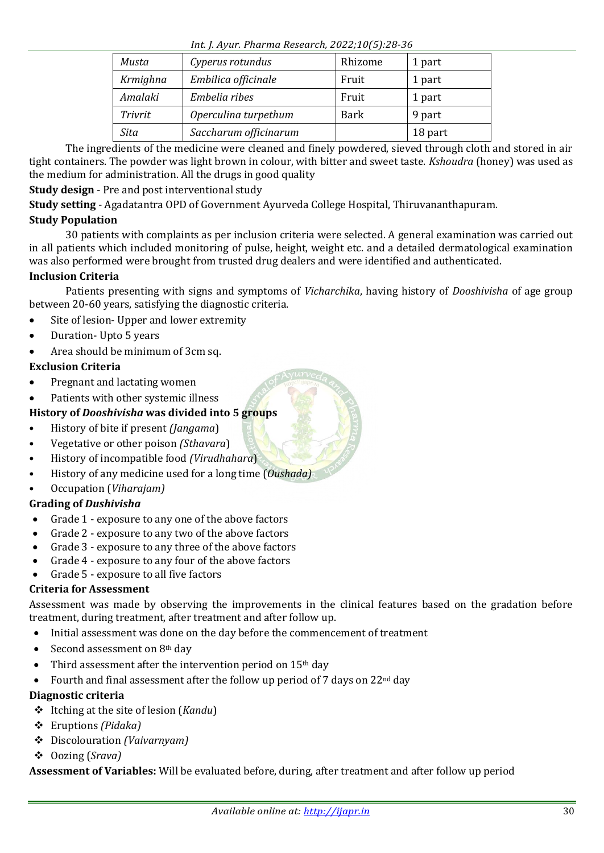*Int. J. Ayur. Pharma Research, 2022;10(5):28-36*

| Musta    | Cyperus rotundus      | Rhizome | 1 part  |
|----------|-----------------------|---------|---------|
| Krmighna | Embilica officinale   | Fruit   | 1 part  |
| Amalaki  | Embelia ribes         | Fruit   | 1 part  |
| Trivrit  | Operculina turpethum  | Bark    | 9 part  |
| Sita     | Saccharum officinarum |         | 18 part |

The ingredients of the medicine were cleaned and finely powdered, sieved through cloth and stored in air tight containers. The powder was light brown in colour, with bitter and sweet taste. *Kshoudra* (honey) was used as the medium for administration. All the drugs in good quality

**Study design** - Pre and post interventional study

**Study setting** - Agadatantra OPD of Government Ayurveda College Hospital, Thiruvananthapuram.

# **Study Population**

30 patients with complaints as per inclusion criteria were selected. A general examination was carried out in all patients which included monitoring of pulse, height, weight etc. and a detailed dermatological examination was also performed were brought from trusted drug dealers and were identified and authenticated.

# **Inclusion Criteria**

Patients presenting with signs and symptoms of *Vicharchika*, having history of *Dooshivisha* of age group between 20-60 years, satisfying the diagnostic criteria.

- Site of lesion- Upper and lower extremity
- Duration- Upto 5 years

# Area should be minimum of 3cm sq.

### **Exclusion Criteria**

- Pregnant and lactating women
- Patients with other systemic illness

# **History of** *Dooshivisha* **was divided into 5 groups**

- History of bite if present *(Jangama*)
- Vegetative or other poison *(Sthavara*)
- History of incompatible food *(Virudhahara*)
- History of any medicine used for a long time (*Oushada)*
- Occupation (*Viharajam)*

## **Grading of** *Dushivisha*

- Grade 1 exposure to any one of the above factors
- Grade 2 exposure to any two of the above factors
- Grade 3 exposure to any three of the above factors
- Grade 4 exposure to any four of the above factors
- Grade 5 exposure to all five factors

### **Criteria for Assessment**

Assessment was made by observing the improvements in the clinical features based on the gradation before treatment, during treatment, after treatment and after follow up.

- Initial assessment was done on the day before the commencement of treatment
- Second assessment on 8th day
- Third assessment after the intervention period on 15th day
- Fourth and final assessment after the follow up period of 7 days on 22<sup>nd</sup> day

### **Diagnostic criteria**

- Itching at the site of lesion (*Kandu*)
- Eruptions *(Pidaka)*
- Discolouration *(Vaivarnyam)*
- Oozing (*Srava)*

**Assessment of Variables:** Will be evaluated before, during, after treatment and after follow up period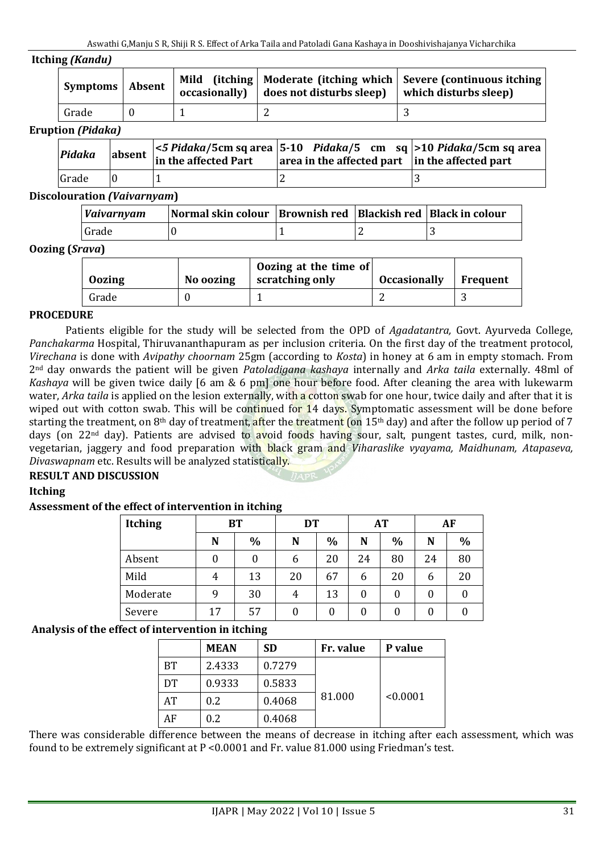#### **Itching** *(Kandu)*

| Symptoms   Absent |  | $\alpha$ occasionally $\alpha$ does not disturbs sleep $\alpha$ which disturbs sleep | Mild (itching   Moderate (itching which   Severe (continuous itching |
|-------------------|--|--------------------------------------------------------------------------------------|----------------------------------------------------------------------|
| Grade             |  |                                                                                      |                                                                      |

#### **Eruption** *(Pidaka)*

| Pidaka | absent $\begin{bmatrix} 5 & \text{Planck} \\ \text{in the affected Part} \end{bmatrix}$ | $\leq$ 5 Pidaka/5cm sq area   5-10 Pidaka/5 cm sq $\geq$ 10 Pidaka/5cm sq area<br>$\vert$ area in the affected part $\vert$ in the affected part |  |
|--------|-----------------------------------------------------------------------------------------|--------------------------------------------------------------------------------------------------------------------------------------------------|--|
| Grade  |                                                                                         |                                                                                                                                                  |  |

#### **Discolouration** *(Vaivarnyam***)**

| <i>Vaivarnyam</i> | Normal skin colour   Brownish red   Blackish red   Black in colour |  |  |
|-------------------|--------------------------------------------------------------------|--|--|
| Grade             |                                                                    |  |  |

#### **Oozing (***Srava***)**

| <b>Oozing</b> | No oozing | Oozing at the time of<br>scratching only | <b>Occasionally</b> | <b>Frequent</b> |
|---------------|-----------|------------------------------------------|---------------------|-----------------|
| Grade         |           |                                          |                     |                 |

#### **PROCEDURE**

Patients eligible for the study will be selected from the OPD of *Agadatantra,* Govt. Ayurveda College, *Panchakarma* Hospital, Thiruvananthapuram as per inclusion criteria. On the first day of the treatment protocol, *Virechana* is done with *Avipathy choornam* 25gm (according to *Kosta*) in honey at 6 am in empty stomach. From 2nd day onwards the patient will be given *Patoladigana kashaya* internally and *Arka taila* externally. 48ml of *Kashaya* will be given twice daily [6 am & 6 pm] one hour before food. After cleaning the area with lukewarm water, *Arka taila* is applied on the lesion externally, with a cotton swab for one hour, twice daily and after that it is wiped out with cotton swab. This will be continued for 14 days. Symptomatic assessment will be done before starting the treatment, on 8<sup>th</sup> day of treatment, after the treatment (on  $15<sup>th</sup>$  day) and after the follow up period of 7 days (on 22<sup>nd</sup> day). Patients are advised to avoid foods having sour, salt, pungent tastes, curd, milk, nonvegetarian, jaggery and food preparation with black gram and *Viharaslike vyayama, Maidhunam, Atapaseva, Divaswapnam* etc. Results will be analyzed statistically.

#### **RESULT AND DISCUSSION**

#### **Itching**

#### **Assessment of the effect of intervention in itching**

| <b>Itching</b> | <b>BT</b> |      | DT |      | <b>AT</b> |      | AF |               |
|----------------|-----------|------|----|------|-----------|------|----|---------------|
|                | N         | $\%$ | N  | $\%$ | N         | $\%$ | N  | $\frac{0}{0}$ |
| Absent         | 0         |      | 6  | 20   | 24        | 80   | 24 | 80            |
| Mild           | 4         | 13   | 20 | 67   | 6         | 20   | 6  | 20            |
| Moderate       | 9         | 30   | 4  | 13   | 0         | 0    | 0  |               |
| Severe         | 17        | 57   | 0  | 0    | 0         | 0    | 0  |               |

#### **Analysis of the effect of intervention in itching**

|    | <b>MEAN</b> | <b>SD</b> | Fr. value | P value  |  |  |
|----|-------------|-----------|-----------|----------|--|--|
| BТ | 2.4333      | 0.7279    |           |          |  |  |
| DT | 0.9333      | 0.5833    |           |          |  |  |
| AT | 0.2         | 0.4068    | 81.000    | < 0.0001 |  |  |
| AF | 0.2         | 0.4068    |           |          |  |  |

There was considerable difference between the means of decrease in itching after each assessment, which was found to be extremely significant at P <0.0001 and Fr. value 81.000 using Friedman's test.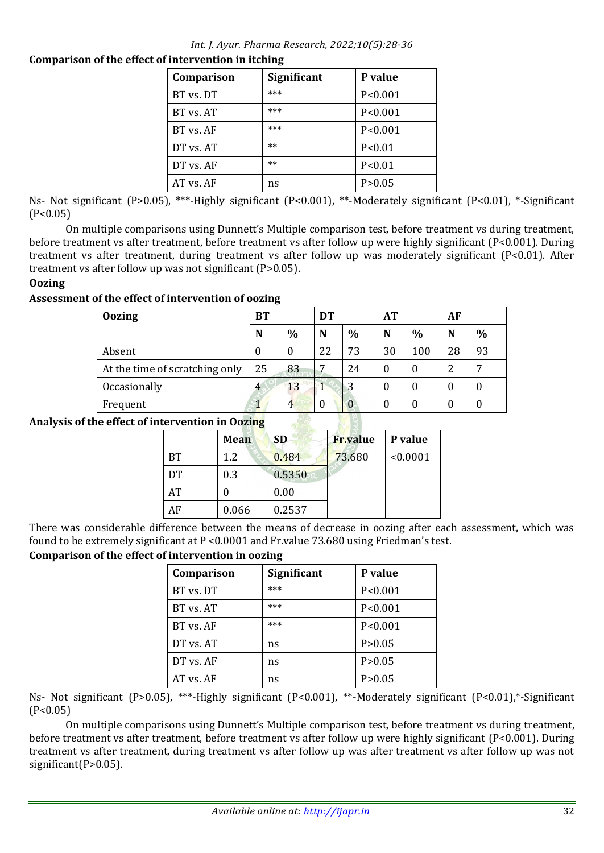# **Comparison of the effect of intervention in itching**

| Comparison | <b>Significant</b> | P value   |
|------------|--------------------|-----------|
| BT vs. DT  | ***                | P < 0.001 |
| BT vs. AT  | ***                | P < 0.001 |
| BT vs. AF  | ***                | P < 0.001 |
| DT vs. AT  | $**$               | P < 0.01  |
| DT vs. AF  | $**$               | P < 0.01  |
| AT vs. AF  | ns                 | P > 0.05  |

Ns- Not significant (P>0.05), \*\*\*-Highly significant (P<0.001), \*\*-Moderately significant (P<0.01), \*-Significant  $(P<0.05)$ 

On multiple comparisons using Dunnett's Multiple comparison test, before treatment vs during treatment, before treatment vs after treatment, before treatment vs after follow up were highly significant (P<0.001). During treatment vs after treatment, during treatment vs after follow up was moderately significant (P<0.01). After treatment vs after follow up was not significant (P>0.05).

# **Oozing**

# **Assessment of the effect of intervention of oozing**

| <b>Oozing</b>                  | BТ       |          | DT |               | AT |          | AF |      |
|--------------------------------|----------|----------|----|---------------|----|----------|----|------|
|                                | N        | $\%$     | N  | $\frac{0}{0}$ | N  | $\%$     | N  | $\%$ |
| Absent                         | $\theta$ | $\theta$ | 22 | 73            | 30 | 100      | 28 | 93   |
| At the time of scratching only | 25       | 83       | −  | 24            |    | $\theta$ | າ  | ⇁    |
| Occasionally                   | 4        | 13       |    | 3             |    | 0        | 0  | O    |
| Frequent                       |          |          | 0  | 0             |    | 0        |    | U    |

## **Analysis of the effect of intervention in Oozing**

|           | Mean  | <b>SD</b> | <b>Fr.value</b> | P value  |
|-----------|-------|-----------|-----------------|----------|
| <b>BT</b> | 1.2   | 0.484     | 73.680          | < 0.0001 |
| DT        | 0.3   | 0.5350    |                 |          |
| AT        |       | 0.00      |                 |          |
| ΑF        | 0.066 | 0.2537    |                 |          |

There was considerable difference between the means of decrease in oozing after each assessment, which was found to be extremely significant at P <0.0001 and Fr.value 73.680 using Friedman's test.

# **Comparison of the effect of intervention in oozing**

| Comparison | <b>Significant</b> | P value   |
|------------|--------------------|-----------|
| BT vs. DT  | ***                | P < 0.001 |
| BT vs. AT  | ***                | P < 0.001 |
| BT vs. AF  | ***                | P < 0.001 |
| DT vs. AT  | ns                 | P > 0.05  |
| DT vs. AF  | ns                 | P > 0.05  |
| AT vs. AF  | ns                 | P > 0.05  |

Ns- Not significant (P>0.05), \*\*\*-Highly significant (P<0.001), \*\*-Moderately significant (P<0.01),\*-Significant  $(P<0.05)$ 

On multiple comparisons using Dunnett's Multiple comparison test, before treatment vs during treatment, before treatment vs after treatment, before treatment vs after follow up were highly significant (P<0.001). During treatment vs after treatment, during treatment vs after follow up was after treatment vs after follow up was not significant(P>0.05).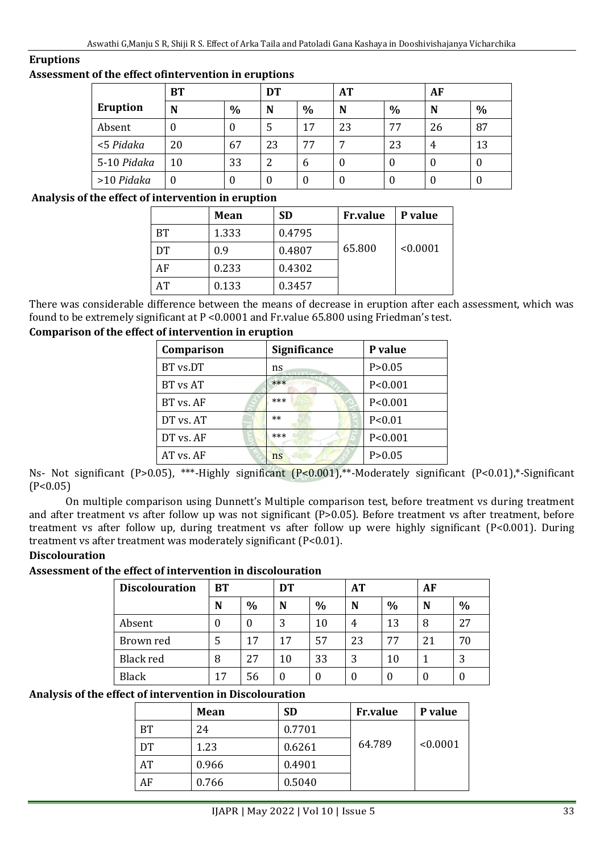#### **Eruptions**

#### **Assessment of the effect ofintervention in eruptions**

|             | <b>BT</b> | DT   |    |      | <b>AT</b>    |               | <b>AF</b> |               |
|-------------|-----------|------|----|------|--------------|---------------|-----------|---------------|
| Eruption    | N         | $\%$ | N  | $\%$ | N            | $\frac{0}{0}$ | N         | $\frac{0}{0}$ |
| Absent      | U         | U    | 5  | 17   | 23           | 77            | 26        | 87            |
| <5 Pidaka   | 20        | 67   | 23 | 77   | ⇁            | 23            | 4         | 13            |
| 5-10 Pidaka | 10        | 33   | 2  | 6    | $\mathbf{0}$ |               |           | O             |
| >10 Pidaka  | 0         | O    |    | 0    | U            |               |           | O             |

#### **Analysis of the effect of intervention in eruption**

|    | Mean  | <b>SD</b> | <b>Fr.value</b> | P value  |
|----|-------|-----------|-----------------|----------|
| BT | 1.333 | 0.4795    |                 |          |
| DT | 0.9   | 0.4807    | 65.800          | < 0.0001 |
| AF | 0.233 | 0.4302    |                 |          |
| AT | 0.133 | 0.3457    |                 |          |

There was considerable difference between the means of decrease in eruption after each assessment, which was found to be extremely significant at P <0.0001 and Fr.value 65.800 using Friedman's test.

#### **Comparison of the effect of intervention in eruption**

| Comparison | <b>Significance</b> | P value   |
|------------|---------------------|-----------|
| BT vs.DT   | ns                  | P > 0.05  |
| BT vs AT   | ***                 | P < 0.001 |
| BT vs. AF  | ***                 | P < 0.001 |
| DT vs. AT  | $**$                | P < 0.01  |
| DT vs. AF  | ***                 | P < 0.001 |
| AT vs. AF  | ns                  | P > 0.05  |

Ns- Not significant (P>0.05), \*\*\*-Highly significant (P<0.001),\*\*-Moderately significant (P<0.01),\*-Significant  $(P<0.05)$ 

On multiple comparison using Dunnett's Multiple comparison test, before treatment vs during treatment and after treatment vs after follow up was not significant (P>0.05). Before treatment vs after treatment, before treatment vs after follow up, during treatment vs after follow up were highly significant (P<0.001). During treatment vs after treatment was moderately significant (P<0.01).

#### **Discolouration**

### **Assessment of the effect of intervention in discolouration**

| <b>Discolouration</b> | <b>BT</b> |          | DT |               | AT |               | AF |               |
|-----------------------|-----------|----------|----|---------------|----|---------------|----|---------------|
|                       | N         | $\%$     | N  | $\frac{0}{0}$ | N  | $\frac{0}{0}$ | N  | $\frac{0}{0}$ |
| Absent                | 0         | $\theta$ | 3  | 10            | 4  | 13            | 8  | 27            |
| Brown red             | 5         | 17       | 17 | 57            | 23 | 77            | 21 | 70            |
| Black red             | 8         | 27       | 10 | 33            | 3  | 10            |    | 3             |
| <b>Black</b>          | 17        | 56       |    | $\theta$      | 0  |               | 0  |               |

#### **Analysis of the effect of intervention in Discolouration**

|           | Mean  | <b>SD</b> | <b>Fr.value</b> | P value  |
|-----------|-------|-----------|-----------------|----------|
| <b>BT</b> | 24    | 0.7701    |                 |          |
| DT        | 1.23  | 0.6261    | 64.789          | < 0.0001 |
| AT        | 0.966 | 0.4901    |                 |          |
| AF        | 0.766 | 0.5040    |                 |          |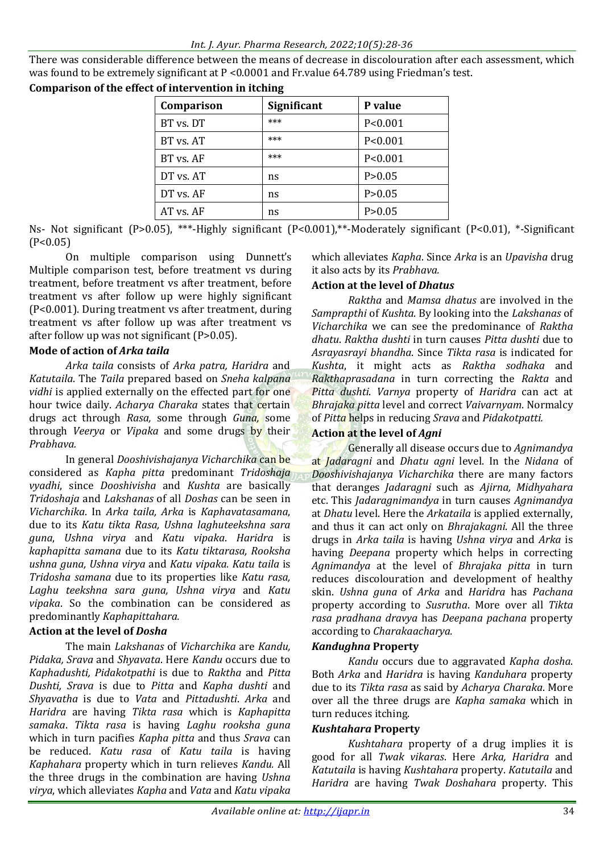There was considerable difference between the means of decrease in discolouration after each assessment, which was found to be extremely significant at P <0.0001 and Fr.value 64.789 using Friedman's test.

| Comparison | <b>Significant</b> | P value   |
|------------|--------------------|-----------|
| BT vs. DT  | ***                | P < 0.001 |
| BT vs. AT  | ***                | P < 0.001 |
| BT vs. AF  | ***                | P < 0.001 |
| DT vs. AT  | ns                 | P > 0.05  |
| DT vs. AF  | ns                 | P > 0.05  |
| AT vs. AF  | ns                 | P > 0.05  |

**Comparison of the effect of intervention in itching**

Ns- Not significant (P>0.05), \*\*\*-Highly significant (P<0.001),\*\*-Moderately significant (P<0.01), \*-Significant  $(P<0.05)$ 

On multiple comparison using Dunnett's Multiple comparison test, before treatment vs during treatment, before treatment vs after treatment, before treatment vs after follow up were highly significant (P<0.001). During treatment vs after treatment, during treatment vs after follow up was after treatment vs after follow up was not significant (P>0.05).

#### **Mode of action of** *Arka taila*

*Arka taila* consists of *Arka patra, Haridra* and *Katutaila*. The *Taila* prepared based on *Sneha kalpana vidhi* is applied externally on the effected part for one hour twice daily. *Acharya Charaka* states that certain drugs act through *Rasa,* some through *Guna,* some through *Veerya* or *Vipaka* and some drugs by their *Prabhava.*

In general *Dooshivishajanya Vicharchika* can be considered as *Kapha pitta* predominant *Tridoshaja vyadhi*, since *Dooshivisha* and *Kushta* are basically *Tridoshaja* and *Lakshanas* of all *Doshas* can be seen in *Vicharchika*. In *Arka taila, Arka* is *Kaphavatasamana*, due to its *Katu tikta Rasa, Ushna laghuteekshna sara guna*, *Ushna virya* and *Katu vipaka*. *Haridra* is *kaphapitta samana* due to its *Katu tiktarasa, Rooksha ushna guna, Ushna virya* and *Katu vipaka. Katu taila* is *Tridosha samana* due to its properties like *Katu rasa, Laghu teekshna sara guna, Ushna virya* and *Katu vipaka*. So the combination can be considered as predominantly *Kaphapittahara.*

### **Action at the level of** *Dosha*

The main *Lakshanas* of *Vicharchika* are *Kandu, Pidaka, Srava* and *Shyavata*. Here *Kandu* occurs due to *Kaphadushti, Pidakotpathi* is due to *Raktha* and *Pitta Dushti, Srava* is due to *Pitta* and *Kapha dushti* and *Shyavatha* is due to *Vata* and *Pittadushti*. *Arka* and *Haridra* are having *Tikta rasa* which is *Kaphapitta samaka*. *Tikta rasa* is having *Laghu rooksha guna* which in turn pacifies *Kapha pitta* and thus *Srava* can be reduced. *Katu rasa* of *Katu taila* is having *Kaphahara* property which in turn relieves *Kandu.* All the three drugs in the combination are having *Ushna virya*, which alleviates *Kapha* and *Vata* and *Katu vipaka*

which alleviates *Kapha*. Since *Arka* is an *Upavisha* drug it also acts by its *Prabhava.*

#### **Action at the level of** *Dhatus*

*Raktha* and *Mamsa dhatus* are involved in the *Samprapthi* of *Kushta*. By looking into the *Lakshanas* of *Vicharchika* we can see the predominance of *Raktha dhatu*. *Raktha dushti* in turn causes *Pitta dushti* due to *Asrayasrayi bhandha*. Since *Tikta rasa* is indicated for *Kushta*, it might acts as *Raktha sodhaka* and *Rakthaprasadana* in turn correcting the *Rakta* and *Pitta dushti*. *Varnya* property of *Haridra* can act at *Bhrajaka pitta* level and correct *Vaivarnyam*. Normalcy of *Pitta* helps in reducing *Srava* and *Pidakotpatti.*

### **Action at the level of** *Agni*

Generally all disease occurs due to *Agnimandya* at *Jadaragni* and *Dhatu agni* level. In the *Nidana* of *Dooshivishajanya Vicharchika* there are many factors that deranges *Jadaragni* such as *Ajirna, Midhyahara* etc. This *Jadaragnimandya* in turn causes *Agnimandya* at *Dhatu* level. Here the *Arkataila* is applied externally, and thus it can act only on *Bhrajakagni*. All the three drugs in *Arka taila* is having *Ushna virya* and *Arka* is having *Deepana* property which helps in correcting *Agnimandya* at the level of *Bhrajaka pitta* in turn reduces discolouration and development of healthy skin. *Ushna guna* of *Arka* and *Haridra* has *Pachana* property according to *Susrutha*. More over all *Tikta rasa pradhana dravya* has *Deepana pachana* property according to *Charakaacharya.*

#### *Kandughna* **Property**

*Kandu* occurs due to aggravated *Kapha dosha*. Both *Arka* and *Haridra* is having *Kanduhara* property due to its *Tikta rasa* as said by *Acharya Charaka*. More over all the three drugs are *Kapha samaka* which in turn reduces itching.

#### *Kushtahara* **Property**

*Kushtahara* property of a drug implies it is good for all *Twak vikaras*. Here *Arka, Haridra* and *Katutaila* is having *Kushtahara* property. *Katutaila* and *Haridra* are having *Twak Doshahara* property. This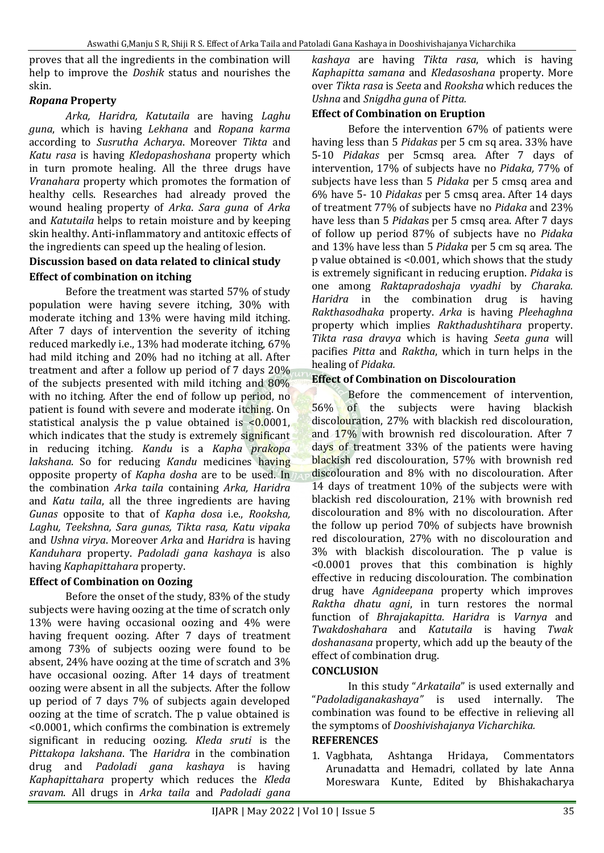proves that all the ingredients in the combination will help to improve the *Doshik* status and nourishes the skin.

# *Ropana* **Property**

*Arka, Haridra, Katutaila* are having *Laghu guna*, which is having *Lekhana* and *Ropana karma* according to *Susrutha Acharya*. Moreover *Tikta* and *Katu rasa* is having *Kledopashoshana* property which in turn promote healing. All the three drugs have *Vranahara* property which promotes the formation of healthy cells. Researches had already proved the wound healing property of *Arka*. *Sara guna* of *Arka* and *Katutaila* helps to retain moisture and by keeping skin healthy. Anti-inflammatory and antitoxic effects of the ingredients can speed up the healing of lesion.

### **Discussion based on data related to clinical study Effect of combination on itching**

Before the treatment was started 57% of study population were having severe itching, 30% with moderate itching and 13% were having mild itching. After 7 days of intervention the severity of itching reduced markedly i.e., 13% had moderate itching, 67% had mild itching and 20% had no itching at all. After treatment and after a follow up period of 7 days 20% of the subjects presented with mild itching and 80% with no itching. After the end of follow up period, no patient is found with severe and moderate itching. On statistical analysis the p value obtained is  $\leq 0.0001$ , which indicates that the study is extremely significant in reducing itching. *Kandu* is a *Kapha prakopa lakshana*. So for reducing *Kandu* medicines having opposite property of *Kapha dosha* are to be used. In the combination *Arka taila* containing *Arka, Haridra* and *Katu taila*, all the three ingredients are having *Gunas* opposite to that of *Kapha dosa* i.e., *Rooksha, Laghu, Teekshna, Sara gunas, Tikta rasa, Katu vipaka* and *Ushna virya*. Moreover *Arka* and *Haridra* is having *Kanduhara* property. *Padoladi gana kashaya* is also having *Kaphapittahara* property.

# **Effect of Combination on Oozing**

Before the onset of the study, 83% of the study subjects were having oozing at the time of scratch only 13% were having occasional oozing and 4% were having frequent oozing. After 7 days of treatment among 73% of subjects oozing were found to be absent, 24% have oozing at the time of scratch and 3% have occasional oozing. After 14 days of treatment oozing were absent in all the subjects. After the follow up period of 7 days 7% of subjects again developed oozing at the time of scratch. The p value obtained is <0.0001, which confirms the combination is extremely significant in reducing oozing. *Kleda sruti* is the *Pittakopa lakshana*. The *Haridra* in the combination drug and *Padoladi gana kashaya* is having *Kaphapittahara* property which reduces the *Kleda sravam*. All drugs in *Arka taila* and *Padoladi gana* 

*kashaya* are having *Tikta rasa*, which is having *Kaphapitta samana* and *Kledasoshana* property. More over *Tikta rasa* is *Seeta* and *Rooksha* which reduces the *Ushna* and *Snigdha guna* of *Pitta.*

### **Effect of Combination on Eruption**

Before the intervention 67% of patients were having less than 5 *Pidakas* per 5 cm sq area. 33% have 5-10 *Pidakas* per 5cmsq area. After 7 days of intervention, 17% of subjects have no *Pidaka,* 77% of subjects have less than 5 *Pidaka* per 5 cmsq area and 6% have 5- 10 *Pidakas* per 5 cmsq area. After 14 days of treatment 77% of subjects have no *Pidaka* and 23% have less than 5 *Pidaka*s per 5 cmsq area. After 7 days of follow up period 87% of subjects have no *Pidaka* and 13% have less than 5 *Pidaka* per 5 cm sq area. The p value obtained is <0.001, which shows that the study is extremely significant in reducing eruption. *Pidaka* is one among *Raktapradoshaja vyadhi* by *Charaka. Haridra* in the combination drug is having *Rakthasodhaka* property. *Arka* is having *Pleehaghna* property which implies *Rakthadushtihara* property. *Tikta rasa dravya* which is having *Seeta guna* will pacifies *Pitta* and *Raktha*, which in turn helps in the healing of *Pidaka.*

### **Effect of Combination on Discolouration**

Before the commencement of intervention, 56% of the subjects were having blackish discolouration, 27% with blackish red discolouration, and 17% with brownish red discolouration. After 7 days of treatment 33% of the patients were having blackish red discolouration, 57% with brownish red discolouration and 8% with no discolouration. After 14 days of treatment 10% of the subjects were with blackish red discolouration, 21% with brownish red discolouration and 8% with no discolouration. After the follow up period 70% of subjects have brownish red discolouration, 27% with no discolouration and 3% with blackish discolouration. The p value is <0.0001 proves that this combination is highly effective in reducing discolouration. The combination drug have *Agnideepana* property which improves *Raktha dhatu agni*, in turn restores the normal function of *Bhrajakapitta. Haridra* is *Varnya* and *Twakdoshahara* and *Katutaila* is having *Twak doshanasana* property, which add up the beauty of the effect of combination drug.

### **CONCLUSION**

In this study "*Arkataila*" is used externally and "*Padoladiganakashaya"* is used internally. The combination was found to be effective in relieving all the symptoms of *Dooshivishajanya Vicharchika.*

#### **REFERENCES**

1. Vagbhata, Ashtanga Hridaya, Commentators Arunadatta and Hemadri, collated by late Anna Moreswara Kunte, Edited by Bhishakacharya